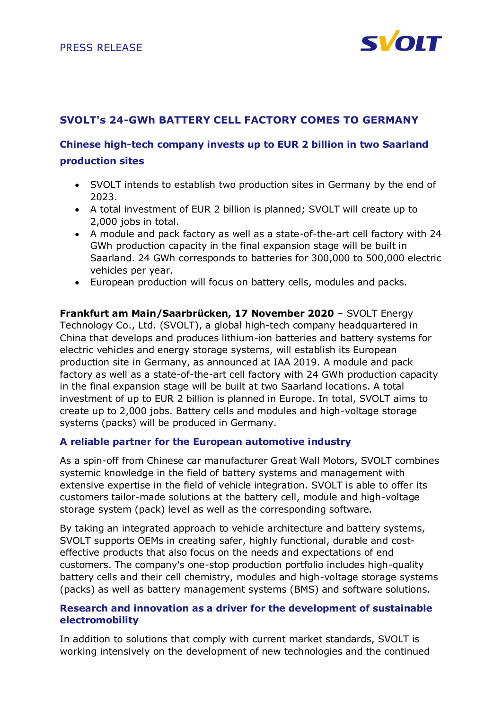

# **SVOLT's 24-GWh BATTERY CELL FACTORY COMES TO GERMANY**

# **Chinese high-tech company invests up to EUR 2 billion in two Saarland production sites**

- SVOLT intends to establish two production sites in Germany by the end of 2023.
- A total investment of EUR 2 billion is planned; SVOLT will create up to 2,000 jobs in total.
- A module and pack factory as well as a state-of-the-art cell factory with 24 GWh production capacity in the final expansion stage will be built in Saarland. 24 GWh corresponds to batteries for 300,000 to 500,000 electric vehicles per year.
- European production will focus on battery cells, modules and packs.

**Frankfurt am Main/Saarbrücken, 17 November 2020** – SVOLT Energy Technology Co., Ltd. (SVOLT), a global high-tech company headquartered in China that develops and produces lithium-ion batteries and battery systems for electric vehicles and energy storage systems, will establish its European production site in Germany, as announced at IAA 2019. A module and pack factory as well as a state-of-the-art cell factory with 24 GWh production capacity in the final expansion stage will be built at two Saarland locations. A total investment of up to EUR 2 billion is planned in Europe. In total, SVOLT aims to create up to 2,000 jobs. Battery cells and modules and high-voltage storage systems (packs) will be produced in Germany.

#### **A reliable partner for the European automotive industry**

As a spin-off from Chinese car manufacturer Great Wall Motors, SVOLT combines systemic knowledge in the field of battery systems and management with extensive expertise in the field of vehicle integration. SVOLT is able to offer its customers tailor-made solutions at the battery cell, module and high-voltage storage system (pack) level as well as the corresponding software.

By taking an integrated approach to vehicle architecture and battery systems, SVOLT supports OEMs in creating safer, highly functional, durable and costeffective products that also focus on the needs and expectations of end customers. The company's one-stop production portfolio includes high-quality battery cells and their cell chemistry, modules and high-voltage storage systems (packs) as well as battery management systems (BMS) and software solutions.

## **Research and innovation as a driver for the development of sustainable electromobility**

In addition to solutions that comply with current market standards, SVOLT is working intensively on the development of new technologies and the continued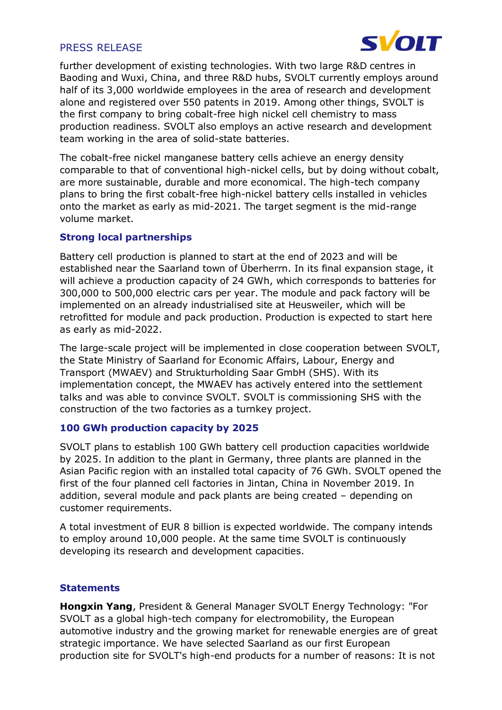

further development of existing technologies. With two large R&D centres in Baoding and Wuxi, China, and three R&D hubs, SVOLT currently employs around half of its 3,000 worldwide employees in the area of research and development alone and registered over 550 patents in 2019. Among other things, SVOLT is the first company to bring cobalt-free high nickel cell chemistry to mass production readiness. SVOLT also employs an active research and development team working in the area of solid-state batteries.

The cobalt-free nickel manganese battery cells achieve an energy density comparable to that of conventional high-nickel cells, but by doing without cobalt, are more sustainable, durable and more economical. The high-tech company plans to bring the first cobalt-free high-nickel battery cells installed in vehicles onto the market as early as mid-2021. The target segment is the mid-range volume market.

## **Strong local partnerships**

Battery cell production is planned to start at the end of 2023 and will be established near the Saarland town of Überherrn. In its final expansion stage, it will achieve a production capacity of 24 GWh, which corresponds to batteries for 300,000 to 500,000 electric cars per year. The module and pack factory will be implemented on an already industrialised site at Heusweiler, which will be retrofitted for module and pack production. Production is expected to start here as early as mid-2022.

The large-scale project will be implemented in close cooperation between SVOLT, the State Ministry of Saarland for Economic Affairs, Labour, Energy and Transport (MWAEV) and Strukturholding Saar GmbH (SHS). With its implementation concept, the MWAEV has actively entered into the settlement talks and was able to convince SVOLT. SVOLT is commissioning SHS with the construction of the two factories as a turnkey project.

## **100 GWh production capacity by 2025**

SVOLT plans to establish 100 GWh battery cell production capacities worldwide by 2025. In addition to the plant in Germany, three plants are planned in the Asian Pacific region with an installed total capacity of 76 GWh. SVOLT opened the first of the four planned cell factories in Jintan, China in November 2019. In addition, several module and pack plants are being created – depending on customer requirements.

A total investment of EUR 8 billion is expected worldwide. The company intends to employ around 10,000 people. At the same time SVOLT is continuously developing its research and development capacities.

## **Statements**

**Hongxin Yang**, President & General Manager SVOLT Energy Technology: "For SVOLT as a global high-tech company for electromobility, the European automotive industry and the growing market for renewable energies are of great strategic importance. We have selected Saarland as our first European production site for SVOLT's high-end products for a number of reasons: It is not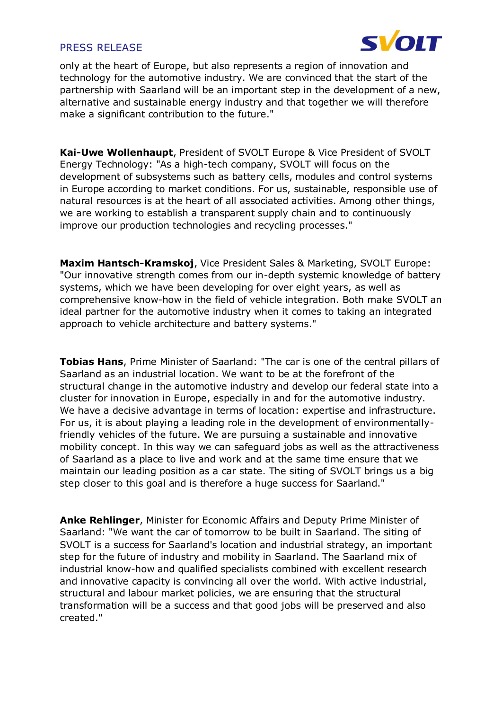

only at the heart of Europe, but also represents a region of innovation and technology for the automotive industry. We are convinced that the start of the partnership with Saarland will be an important step in the development of a new, alternative and sustainable energy industry and that together we will therefore make a significant contribution to the future."

**Kai-Uwe Wollenhaupt**, President of SVOLT Europe & Vice President of SVOLT Energy Technology: "As a high-tech company, SVOLT will focus on the development of subsystems such as battery cells, modules and control systems in Europe according to market conditions. For us, sustainable, responsible use of natural resources is at the heart of all associated activities. Among other things, we are working to establish a transparent supply chain and to continuously improve our production technologies and recycling processes."

**Maxim Hantsch-Kramskoj**, Vice President Sales & Marketing, SVOLT Europe: "Our innovative strength comes from our in-depth systemic knowledge of battery systems, which we have been developing for over eight years, as well as comprehensive know-how in the field of vehicle integration. Both make SVOLT an ideal partner for the automotive industry when it comes to taking an integrated approach to vehicle architecture and battery systems."

**Tobias Hans**, Prime Minister of Saarland: "The car is one of the central pillars of Saarland as an industrial location. We want to be at the forefront of the structural change in the automotive industry and develop our federal state into a cluster for innovation in Europe, especially in and for the automotive industry. We have a decisive advantage in terms of location: expertise and infrastructure. For us, it is about playing a leading role in the development of environmentallyfriendly vehicles of the future. We are pursuing a sustainable and innovative mobility concept. In this way we can safeguard jobs as well as the attractiveness of Saarland as a place to live and work and at the same time ensure that we maintain our leading position as a car state. The siting of SVOLT brings us a big step closer to this goal and is therefore a huge success for Saarland."

**Anke Rehlinger**, Minister for Economic Affairs and Deputy Prime Minister of Saarland: "We want the car of tomorrow to be built in Saarland. The siting of SVOLT is a success for Saarland's location and industrial strategy, an important step for the future of industry and mobility in Saarland. The Saarland mix of industrial know-how and qualified specialists combined with excellent research and innovative capacity is convincing all over the world. With active industrial, structural and labour market policies, we are ensuring that the structural transformation will be a success and that good jobs will be preserved and also created."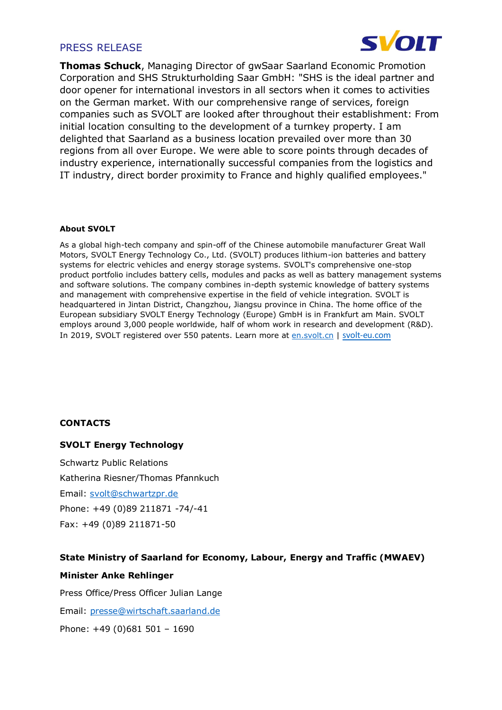

**Thomas Schuck**, Managing Director of gwSaar Saarland Economic Promotion Corporation and SHS Strukturholding Saar GmbH: "SHS is the ideal partner and door opener for international investors in all sectors when it comes to activities on the German market. With our comprehensive range of services, foreign companies such as SVOLT are looked after throughout their establishment: From initial location consulting to the development of a turnkey property. I am delighted that Saarland as a business location prevailed over more than 30 regions from all over Europe. We were able to score points through decades of industry experience, internationally successful companies from the logistics and IT industry, direct border proximity to France and highly qualified employees."

#### **About SVOLT**

As a global high-tech company and spin-off of the Chinese automobile manufacturer Great Wall Motors, SVOLT Energy Technology Co., Ltd. (SVOLT) produces lithium-ion batteries and battery systems for electric vehicles and energy storage systems. SVOLT's comprehensive one-stop product portfolio includes battery cells, modules and packs as well as battery management systems and software solutions. The company combines in-depth systemic knowledge of battery systems and management with comprehensive expertise in the field of vehicle integration. SVOLT is headquartered in Jintan District, Changzhou, Jiangsu province in China. The home office of the European subsidiary SVOLT Energy Technology (Europe) GmbH is in Frankfurt am Main. SVOLT employs around 3,000 people worldwide, half of whom work in research and development (R&D). In 2019, SVOLT registered over 550 patents. Learn more a[t en.svolt.cn](https://en.svolt.cn/) | [svolt-eu.com](https://svolt-eu.com/)

#### **CONTACTS**

#### **SVOLT Energy Technology**

Schwartz Public Relations Katherina Riesner/Thomas Pfannkuch Email: [svolt@schwartzpr.de](mailto:svolt@schwartzpr.de) Phone: +49 (0)89 211871 -74/-41 Fax: +49 (0)89 211871-50

# **State Ministry of Saarland for Economy, Labour, Energy and Traffic (MWAEV) Minister Anke Rehlinger**

Press Office/Press Officer Julian Lange Email: [presse@wirtschaft.saarland.de](mailto:presse@wirtschaft.saarland.de) Phone: +49 (0)681 501 – 1690